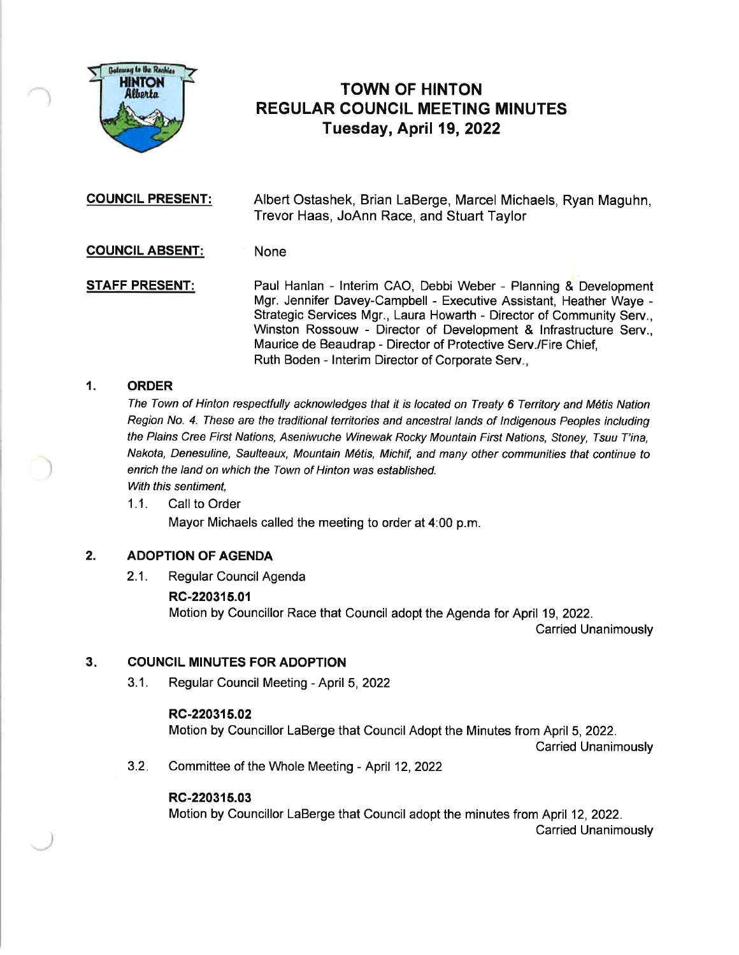

# TOWN OF HINTON REGULAR COUNCIL MEETING MINUTES Tuesday, April 19,2022

COUNCIL PRESENT: Albert Ostashek, Brian LaBerge, Marcel Michaels, Ryan Maguhn, Trevor Haas, JoAnn Race, and Stuart Taylor

# COUNCIL ABSENT: None

STAFF PRESENT: Paul Hanlan - Interim CAO, Debbi Weber - Planning & Development Mgr. Jennifer Davey-Campbell - Executive Assistant, Heather Waye - Strategic Services Mgr., Laura Howarth - Director of Community Serv., Winston Rossouw - Director of Development & lnfrastructure Serv., Maurice de Beaudrap - Director of Protective Serv./Fire Chief, Ruth Boden - lnterim Director of Corporate Serv.,

# 1. ORDER

The Town of Hinton respectfully acknowledges that it is located on Treaty 6 Territory and Métis Nation Region No. 4. These are the traditional territories and ancestral lands of Indigenous Peoples including the Plains Cree First Nations, Aseniwuche Winewak Rocky Mountain First Nations, Stoney, Tsuu T'ina, Nakota, Denesuline, Saulteaux, Mountain Métis, Michif, and many other communities that continue to enrich the land on which the Town of Hinton was established. With this sentiment.

1.1. Call to Order Mayor Michaels called the meeting to order at 4:00 p.m.

# 2. ADOPTION OF AGENDA

2.1. Regular Council Agenda

# RC-220315.01

Motion by Councillor Race that Council adopt the Agenda for April 19,2022.

Carried Unanimously

#### COUNCIL MINUTES FOR ADOPTION  $3.$

3.1. Regular Council Meeting - April 5,2022

### RC-220315.02

Motion by Councillor LaBerge that Council Adopt the Minutes from April 5,2022.

Carried Unanimously

3.2 Committee of the Whole Meeting - April 12,2022

### RC-220315.03

Motion by Councillor LaBerge that Council adopt the minutes from April 12,2022. Carried Unanimously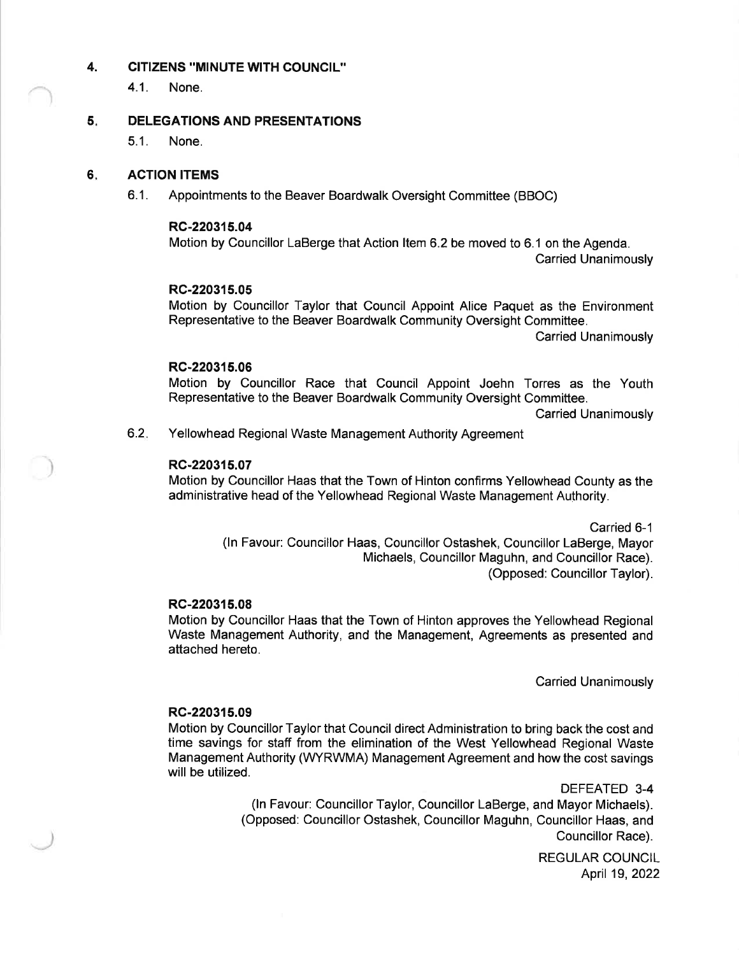### 4. CITIZENS "MINUTE WITH COUNCIL"

4.1. None.

#### DELEGATIONS AND PRESENTATIONS 5

5.1. None.

#### ACTION ITEMS 6

6.1. Appointments to the Beaver Boardwalk Oversight Committee (BBOC)

### RC-220315.04

Motion by Councillor LaBerge that Action ltem 6.2 be moved to 6.1 on the Agenda. Carried Unanimously

# RC-220315.05

Motion by Councillor Taylor that Council Appoint Alice Paquet as the Environment Representative to the Beaver Boardwalk Community Oversight Committee.

Carried Unanimously

# RC-220315.06

Motion by Councillor Race that Council Appoint Joehn Torres as the Youth Representative to the Beaver Boardwalk Community Oversight Committee.

Carried Unanimously

Yellowhead Regional Waste Management Authority Agreement 6.2

# RC-220315.07

Motion by Councillor Haas that the Town of Hinton confirms Yellowhead County as the administrative head of the Yellowhead Regional Waste Management Authority.

> Carried 6-1 (ln Favour: Councillor Haas, Councillor Ostashek, Councillor LaBerge, Mayor Michaels, Councillor Maguhn, and Councillor Race). (Opposed: Councillor Taylor).

### RC-220315.08

Motion by Councillor Haas that the Town of Hinton approves the Yellowhead Regional Waste Management Authority, and the Management, Agreements as presented and attached hereto.

Carried Unanimously

# RC-220315.09

Motion by Councillor Taylor that Council direct Administration to bring back the cost and time savings for staff from the elimination of the West Yellowhead Regional Waste Management Authority (WYRWMA) Management Agreement and how the cost savings will be utilized.

> DEFEATED 3-4 (ln Favour: Councillor Taylor, Councillor LaBerge, and Mayor Michaels). (Opposed: Councillor Ostashek, Councillor Maguhn, Councillor Haas, and Councillor Race).

> > REGULAR COUNCIL April 19,2022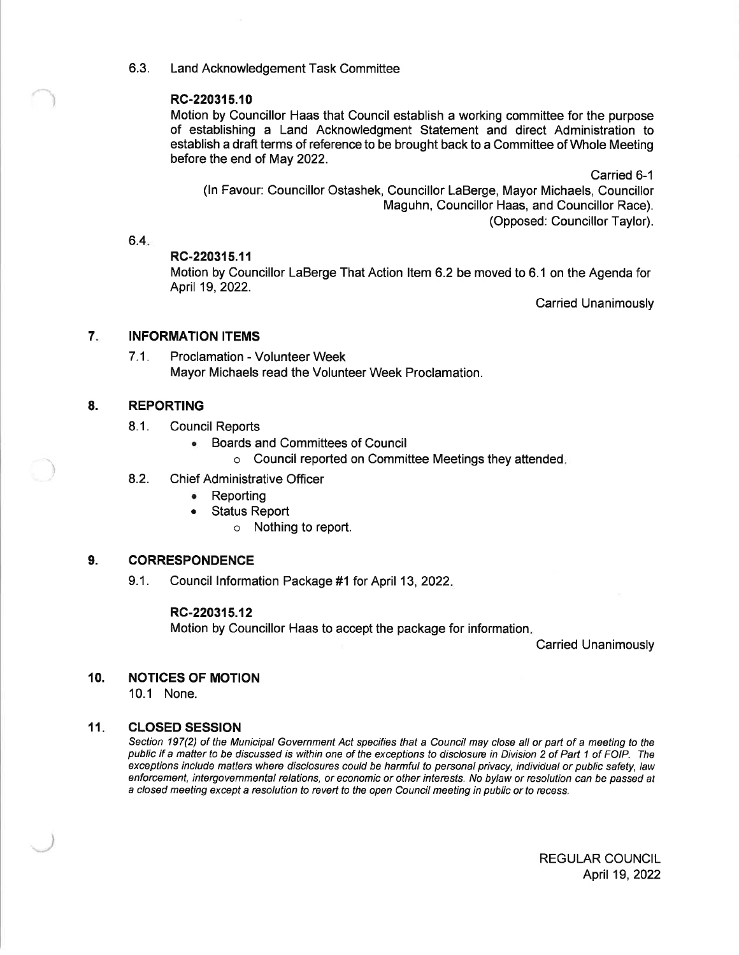6.3. Land Acknowledgement Task Committee

# RC-220315.10

Motion by Councillor Haas that Council establish a working committee for the purpose of establishing a Land Acknowledgment Statement and direct Administration to establish a draft terms of reference to be brought back to a Committee of Whole Meeting before the end of May 2022.

Carried 6-1 (ln Favour: Councillor Ostashek, Councillor LaBerge, Mayor Michaels, Councillor Maguhn, Councillor Haas, and Councillor Race). (Opposed: Councillor Taylor).

 $6.4.$ 

### RC-220315.11

Motion by Councillor LaBerge That Action ltem 6.2 be moved to 6.1 on the Agenda for April 19,2022.

Carried Unanimously

#### INFORMATION ITEMS 7

7.1. Proclamation - Volunteer Week Mayor Michaels read the Volunteer Week Proclamation.

#### REPORTING 8.

)

- 8.1. Council Reports
	- . Boards and Committees of Council
		- o Council reported on Committee Meetings they attended
- 8.2. Chief Administrative Officer
	- Reporting
	- . Status Report
		- o Nothing to report.

#### **CORRESPONDENCE** 9.

9.1. Council lnformation Package #1 for April 13,2022

# RC-220315.12

Motion by Councillor Haas to accept the package for information

Carried Unanimously

#### NOTICES OF MOTION 10.

10.1 None.

#### CLOSED SESSION  $11.$

Section 197(2) of the Municipal Government Act specifies that a Council may close all or part of a meeting to the public if a matter to be discussed is within one of the exceptions to disclosure in Division 2 of Part 1 of FOIP. The exceptions include matters where disclosures could be harmful to personal privacy, individual or public safety, law enforcement, intergovernmental relations, or economic or other interesfs. No bylaw or resolution can be passed at a closed meeting except a resolution to revert to the open Council meeting in public or fo recess.

> REGULAR COUNCIL April 19, 2022